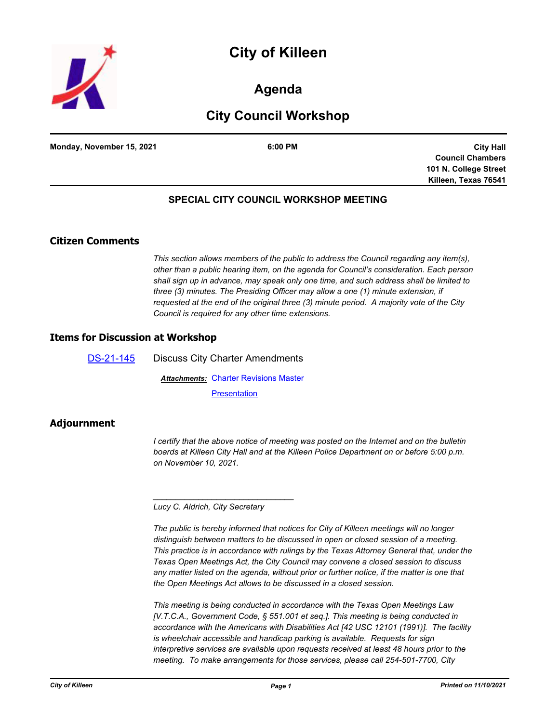



# **Agenda**

# **City Council Workshop**

**Monday, November 15, 2021 6:00 PM**

**City Hall Council Chambers 101 N. College Street Killeen, Texas 76541**

# **SPECIAL CITY COUNCIL WORKSHOP MEETING**

# **Citizen Comments**

*This section allows members of the public to address the Council regarding any item(s), other than a public hearing item, on the agenda for Council's consideration. Each person shall sign up in advance, may speak only one time, and such address shall be limited to three (3) minutes. The Presiding Officer may allow a one (1) minute extension, if requested at the end of the original three (3) minute period. A majority vote of the City Council is required for any other time extensions.*

### **Items for Discussion at Workshop**

[DS-21-145](http://killeen.legistar.com/gateway.aspx?m=l&id=/matter.aspx?key=5788) Discuss City Charter Amendments **Attachments: [Charter Revisions Master](http://killeen.legistar.com/gateway.aspx?M=F&ID=c61e9043-7c39-4720-b1ef-20fc54d6b8df.pdf) [Presentation](http://killeen.legistar.com/gateway.aspx?M=F&ID=41dce4f9-0f94-4888-8572-3de3c441731b.pdf)** 

## **Adjournment**

*I* certify that the above notice of meeting was posted on the Internet and on the bulletin *boards at Killeen City Hall and at the Killeen Police Department on or before 5:00 p.m. on November 10, 2021.*

*Lucy C. Aldrich, City Secretary* 

*\_\_\_\_\_\_\_\_\_\_\_\_\_\_\_\_\_\_\_\_\_\_\_\_\_\_\_\_\_\_\_*

*The public is hereby informed that notices for City of Killeen meetings will no longer distinguish between matters to be discussed in open or closed session of a meeting. This practice is in accordance with rulings by the Texas Attorney General that, under the Texas Open Meetings Act, the City Council may convene a closed session to discuss any matter listed on the agenda, without prior or further notice, if the matter is one that the Open Meetings Act allows to be discussed in a closed session.*

*This meeting is being conducted in accordance with the Texas Open Meetings Law [V.T.C.A., Government Code, § 551.001 et seq.]. This meeting is being conducted in accordance with the Americans with Disabilities Act [42 USC 12101 (1991)]. The facility is wheelchair accessible and handicap parking is available. Requests for sign interpretive services are available upon requests received at least 48 hours prior to the meeting. To make arrangements for those services, please call 254-501-7700, City*